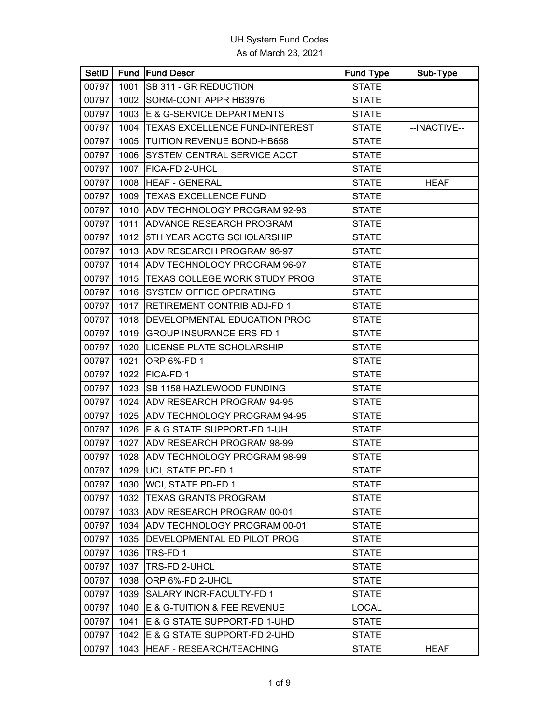| SetID |      | <b>Fund Fund Descr</b>          | <b>Fund Type</b> | Sub-Type     |
|-------|------|---------------------------------|------------------|--------------|
| 00797 | 1001 | SB 311 - GR REDUCTION           | <b>STATE</b>     |              |
| 00797 | 1002 | SORM-CONT APPR HB3976           | <b>STATE</b>     |              |
| 00797 | 1003 | E & G-SERVICE DEPARTMENTS       | <b>STATE</b>     |              |
| 00797 | 1004 | TEXAS EXCELLENCE FUND-INTEREST  | <b>STATE</b>     | --INACTIVE-- |
| 00797 | 1005 | TUITION REVENUE BOND-HB658      | <b>STATE</b>     |              |
| 00797 | 1006 | SYSTEM CENTRAL SERVICE ACCT     | <b>STATE</b>     |              |
| 00797 | 1007 | FICA-FD 2-UHCL                  | <b>STATE</b>     |              |
| 00797 | 1008 | <b>HEAF - GENERAL</b>           | <b>STATE</b>     | <b>HEAF</b>  |
| 00797 | 1009 | TEXAS EXCELLENCE FUND           | <b>STATE</b>     |              |
| 00797 | 1010 | ADV TECHNOLOGY PROGRAM 92-93    | <b>STATE</b>     |              |
| 00797 | 1011 | ADVANCE RESEARCH PROGRAM        | <b>STATE</b>     |              |
| 00797 | 1012 | 5TH YEAR ACCTG SCHOLARSHIP      | <b>STATE</b>     |              |
| 00797 | 1013 | ADV RESEARCH PROGRAM 96-97      | <b>STATE</b>     |              |
| 00797 | 1014 | ADV TECHNOLOGY PROGRAM 96-97    | <b>STATE</b>     |              |
| 00797 | 1015 | TEXAS COLLEGE WORK STUDY PROG   | <b>STATE</b>     |              |
| 00797 | 1016 | SYSTEM OFFICE OPERATING         | <b>STATE</b>     |              |
| 00797 | 1017 | RETIREMENT CONTRIB ADJ-FD 1     | <b>STATE</b>     |              |
| 00797 | 1018 | DEVELOPMENTAL EDUCATION PROG    | <b>STATE</b>     |              |
| 00797 | 1019 | <b>GROUP INSURANCE-ERS-FD 1</b> | <b>STATE</b>     |              |
| 00797 | 1020 | LICENSE PLATE SCHOLARSHIP       | <b>STATE</b>     |              |
| 00797 | 1021 | ORP 6%-FD 1                     | <b>STATE</b>     |              |
| 00797 | 1022 | FICA-FD1                        | <b>STATE</b>     |              |
| 00797 | 1023 | SB 1158 HAZLEWOOD FUNDING       | <b>STATE</b>     |              |
| 00797 | 1024 | ADV RESEARCH PROGRAM 94-95      | <b>STATE</b>     |              |
| 00797 | 1025 | ADV TECHNOLOGY PROGRAM 94-95    | <b>STATE</b>     |              |
| 00797 | 1026 | E & G STATE SUPPORT-FD 1-UH     | <b>STATE</b>     |              |
| 00797 | 1027 | ADV RESEARCH PROGRAM 98-99      | <b>STATE</b>     |              |
| 00797 | 1028 | ADV TECHNOLOGY PROGRAM 98-99    | <b>STATE</b>     |              |
| 00797 | 1029 | UCI, STATE PD-FD 1              | <b>STATE</b>     |              |
| 00797 | 1030 | WCI, STATE PD-FD 1              | <b>STATE</b>     |              |
| 00797 | 1032 | <b>TEXAS GRANTS PROGRAM</b>     | <b>STATE</b>     |              |
| 00797 | 1033 | ADV RESEARCH PROGRAM 00-01      | <b>STATE</b>     |              |
| 00797 | 1034 | ADV TECHNOLOGY PROGRAM 00-01    | <b>STATE</b>     |              |
| 00797 | 1035 | DEVELOPMENTAL ED PILOT PROG     | <b>STATE</b>     |              |
| 00797 | 1036 | TRS-FD1                         | <b>STATE</b>     |              |
| 00797 | 1037 | TRS-FD 2-UHCL                   | <b>STATE</b>     |              |
| 00797 | 1038 | ORP 6%-FD 2-UHCL                | <b>STATE</b>     |              |
| 00797 | 1039 | SALARY INCR-FACULTY-FD 1        | <b>STATE</b>     |              |
| 00797 | 1040 | E & G-TUITION & FEE REVENUE     | <b>LOCAL</b>     |              |
| 00797 | 1041 | E & G STATE SUPPORT-FD 1-UHD    | <b>STATE</b>     |              |
| 00797 | 1042 | E & G STATE SUPPORT-FD 2-UHD    | <b>STATE</b>     |              |
| 00797 | 1043 | HEAF - RESEARCH/TEACHING        | <b>STATE</b>     | <b>HEAF</b>  |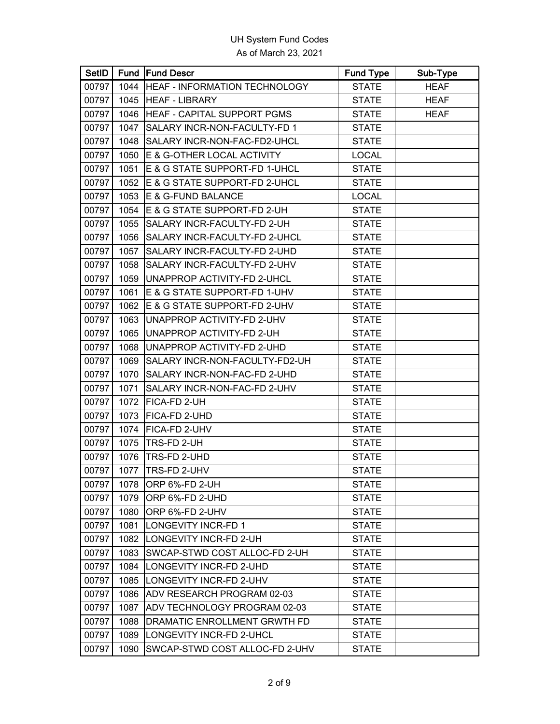| <b>SetID</b> |      | <b>Fund Fund Descr</b>         | <b>Fund Type</b> | Sub-Type    |
|--------------|------|--------------------------------|------------------|-------------|
| 00797        | 1044 | HEAF - INFORMATION TECHNOLOGY  | <b>STATE</b>     | <b>HEAF</b> |
| 00797        | 1045 | <b>HEAF - LIBRARY</b>          | <b>STATE</b>     | <b>HEAF</b> |
| 00797        | 1046 | HEAF - CAPITAL SUPPORT PGMS    | <b>STATE</b>     | <b>HEAF</b> |
| 00797        | 1047 | SALARY INCR-NON-FACULTY-FD 1   | <b>STATE</b>     |             |
| 00797        | 1048 | SALARY INCR-NON-FAC-FD2-UHCL   | <b>STATE</b>     |             |
| 00797        | 1050 | E & G-OTHER LOCAL ACTIVITY     | <b>LOCAL</b>     |             |
| 00797        | 1051 | E & G STATE SUPPORT-FD 1-UHCL  | <b>STATE</b>     |             |
| 00797        | 1052 | E & G STATE SUPPORT-FD 2-UHCL  | <b>STATE</b>     |             |
| 00797        | 1053 | E & G-FUND BALANCE             | <b>LOCAL</b>     |             |
| 00797        | 1054 | E & G STATE SUPPORT-FD 2-UH    | <b>STATE</b>     |             |
| 00797        | 1055 | SALARY INCR-FACULTY-FD 2-UH    | <b>STATE</b>     |             |
| 00797        | 1056 | SALARY INCR-FACULTY-FD 2-UHCL  | <b>STATE</b>     |             |
| 00797        | 1057 | SALARY INCR-FACULTY-FD 2-UHD   | <b>STATE</b>     |             |
| 00797        | 1058 | SALARY INCR-FACULTY-FD 2-UHV   | <b>STATE</b>     |             |
| 00797        | 1059 | UNAPPROP ACTIVITY-FD 2-UHCL    | <b>STATE</b>     |             |
| 00797        | 1061 | E & G STATE SUPPORT-FD 1-UHV   | <b>STATE</b>     |             |
| 00797        | 1062 | E & G STATE SUPPORT-FD 2-UHV   | <b>STATE</b>     |             |
| 00797        | 1063 | UNAPPROP ACTIVITY-FD 2-UHV     | <b>STATE</b>     |             |
| 00797        | 1065 | UNAPPROP ACTIVITY-FD 2-UH      | <b>STATE</b>     |             |
| 00797        | 1068 | UNAPPROP ACTIVITY-FD 2-UHD     | <b>STATE</b>     |             |
| 00797        | 1069 | SALARY INCR-NON-FACULTY-FD2-UH | <b>STATE</b>     |             |
| 00797        | 1070 | SALARY INCR-NON-FAC-FD 2-UHD   | <b>STATE</b>     |             |
| 00797        | 1071 | SALARY INCR-NON-FAC-FD 2-UHV   | <b>STATE</b>     |             |
| 00797        | 1072 | FICA-FD 2-UH                   | <b>STATE</b>     |             |
| 00797        | 1073 | FICA-FD 2-UHD                  | <b>STATE</b>     |             |
| 00797        | 1074 | FICA-FD 2-UHV                  | <b>STATE</b>     |             |
| 00797        | 1075 | TRS-FD 2-UH                    | <b>STATE</b>     |             |
| 00797        | 1076 | TRS-FD 2-UHD                   | <b>STATE</b>     |             |
| 00797        | 1077 | TRS-FD 2-UHV                   | <b>STATE</b>     |             |
| 00797        | 1078 | ORP 6%-FD 2-UH                 | <b>STATE</b>     |             |
| 00797        | 1079 | ORP 6%-FD 2-UHD                | <b>STATE</b>     |             |
| 00797        | 1080 | ORP 6%-FD 2-UHV                | <b>STATE</b>     |             |
| 00797        | 1081 | <b>LONGEVITY INCR-FD 1</b>     | <b>STATE</b>     |             |
| 00797        | 1082 | LONGEVITY INCR-FD 2-UH         | <b>STATE</b>     |             |
| 00797        | 1083 | SWCAP-STWD COST ALLOC-FD 2-UH  | <b>STATE</b>     |             |
| 00797        | 1084 | LONGEVITY INCR-FD 2-UHD        | <b>STATE</b>     |             |
| 00797        | 1085 | LONGEVITY INCR-FD 2-UHV        | <b>STATE</b>     |             |
| 00797        | 1086 | ADV RESEARCH PROGRAM 02-03     | <b>STATE</b>     |             |
| 00797        | 1087 | ADV TECHNOLOGY PROGRAM 02-03   | <b>STATE</b>     |             |
| 00797        | 1088 | DRAMATIC ENROLLMENT GRWTH FD   | <b>STATE</b>     |             |
| 00797        | 1089 | LONGEVITY INCR-FD 2-UHCL       | <b>STATE</b>     |             |
| 00797        | 1090 | SWCAP-STWD COST ALLOC-FD 2-UHV | <b>STATE</b>     |             |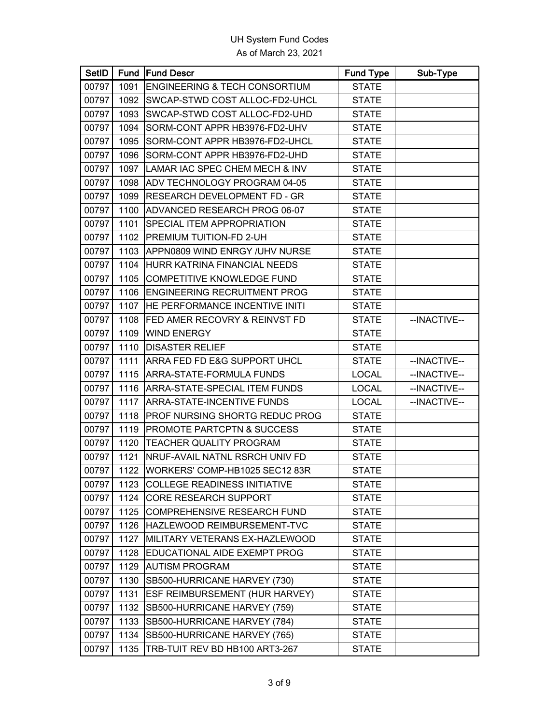| <b>SetID</b> |      | Fund Fund Descr                       | <b>Fund Type</b> | Sub-Type     |
|--------------|------|---------------------------------------|------------------|--------------|
| 00797        | 1091 | ENGINEERING & TECH CONSORTIUM         | <b>STATE</b>     |              |
| 00797        | 1092 | SWCAP-STWD COST ALLOC-FD2-UHCL        | <b>STATE</b>     |              |
| 00797        | 1093 | SWCAP-STWD COST ALLOC-FD2-UHD         | <b>STATE</b>     |              |
| 00797        | 1094 | SORM-CONT APPR HB3976-FD2-UHV         | <b>STATE</b>     |              |
| 00797        | 1095 | SORM-CONT APPR HB3976-FD2-UHCL        | <b>STATE</b>     |              |
| 00797        | 1096 | SORM-CONT APPR HB3976-FD2-UHD         | <b>STATE</b>     |              |
| 00797        |      | 1097   LAMAR IAC SPEC CHEM MECH & INV | <b>STATE</b>     |              |
| 00797        | 1098 | ADV TECHNOLOGY PROGRAM 04-05          | <b>STATE</b>     |              |
| 00797        | 1099 | <b>RESEARCH DEVELOPMENT FD - GR</b>   | <b>STATE</b>     |              |
| 00797        | 1100 | ADVANCED RESEARCH PROG 06-07          | <b>STATE</b>     |              |
| 00797        | 1101 | SPECIAL ITEM APPROPRIATION            | <b>STATE</b>     |              |
| 00797        | 1102 | PREMIUM TUITION-FD 2-UH               | <b>STATE</b>     |              |
| 00797        | 1103 | APPN0809 WIND ENRGY /UHV NURSE        | <b>STATE</b>     |              |
| 00797        | 1104 | HURR KATRINA FINANCIAL NEEDS          | <b>STATE</b>     |              |
| 00797        | 1105 | <b>COMPETITIVE KNOWLEDGE FUND</b>     | <b>STATE</b>     |              |
| 00797        | 1106 | <b>ENGINEERING RECRUITMENT PROG</b>   | <b>STATE</b>     |              |
| 00797        | 1107 | HE PERFORMANCE INCENTIVE INITI        | <b>STATE</b>     |              |
| 00797        | 1108 | FED AMER RECOVRY & REINVST FD         | <b>STATE</b>     | --INACTIVE-- |
| 00797        | 1109 | <b>WIND ENERGY</b>                    | <b>STATE</b>     |              |
| 00797        | 1110 | <b>DISASTER RELIEF</b>                | <b>STATE</b>     |              |
| 00797        | 1111 | ARRA FED FD E&G SUPPORT UHCL          | <b>STATE</b>     | --INACTIVE-- |
| 00797        | 1115 | ARRA-STATE-FORMULA FUNDS              | <b>LOCAL</b>     | --INACTIVE-- |
| 00797        | 1116 | ARRA-STATE-SPECIAL ITEM FUNDS         | <b>LOCAL</b>     | --INACTIVE-- |
| 00797        | 1117 | ARRA-STATE-INCENTIVE FUNDS            | <b>LOCAL</b>     | --INACTIVE-- |
| 00797        | 1118 | PROF NURSING SHORTG REDUC PROG        | <b>STATE</b>     |              |
| 00797        | 1119 | PROMOTE PARTCPTN & SUCCESS            | <b>STATE</b>     |              |
| 00797        | 1120 | <b>TEACHER QUALITY PROGRAM</b>        | <b>STATE</b>     |              |
| 00797        | 1121 | NRUF-AVAIL NATNL RSRCH UNIV FD        | <b>STATE</b>     |              |
| 00797        | 1122 | WORKERS' COMP-HB1025 SEC12 83R        | <b>STATE</b>     |              |
| 00797        |      | 1123 COLLEGE READINESS INITIATIVE     | <b>STATE</b>     |              |
| 00797        |      | 1124 CORE RESEARCH SUPPORT            | <b>STATE</b>     |              |
| 00797        | 1125 | <b>COMPREHENSIVE RESEARCH FUND</b>    | <b>STATE</b>     |              |
| 00797        |      | 1126 HAZLEWOOD REIMBURSEMENT-TVC      | <b>STATE</b>     |              |
| 00797        | 1127 | MILITARY VETERANS EX-HAZLEWOOD        | <b>STATE</b>     |              |
| 00797        | 1128 | EDUCATIONAL AIDE EXEMPT PROG          | <b>STATE</b>     |              |
| 00797        | 1129 | <b>AUTISM PROGRAM</b>                 | <b>STATE</b>     |              |
| 00797        | 1130 | SB500-HURRICANE HARVEY (730)          | <b>STATE</b>     |              |
| 00797        | 1131 | ESF REIMBURSEMENT (HUR HARVEY)        | <b>STATE</b>     |              |
| 00797        | 1132 | SB500-HURRICANE HARVEY (759)          | <b>STATE</b>     |              |
| 00797        | 1133 | SB500-HURRICANE HARVEY (784)          | <b>STATE</b>     |              |
| 00797        | 1134 | SB500-HURRICANE HARVEY (765)          | <b>STATE</b>     |              |
| 00797        | 1135 | TRB-TUIT REV BD HB100 ART3-267        | <b>STATE</b>     |              |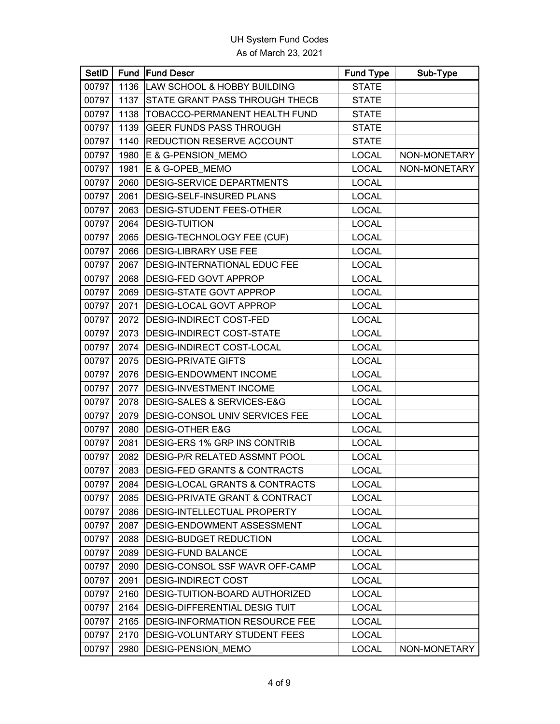| <b>SetID</b> |      | <b>Fund Fund Descr</b>                  | <b>Fund Type</b> | Sub-Type     |
|--------------|------|-----------------------------------------|------------------|--------------|
| 00797        | 1136 | <b>LAW SCHOOL &amp; HOBBY BUILDING</b>  | <b>STATE</b>     |              |
| 00797        | 1137 | STATE GRANT PASS THROUGH THECB          | <b>STATE</b>     |              |
| 00797        | 1138 | TOBACCO-PERMANENT HEALTH FUND           | <b>STATE</b>     |              |
| 00797        | 1139 | <b>GEER FUNDS PASS THROUGH</b>          | <b>STATE</b>     |              |
| 00797        | 1140 | <b>REDUCTION RESERVE ACCOUNT</b>        | <b>STATE</b>     |              |
| 00797        | 1980 | E & G-PENSION MEMO                      | <b>LOCAL</b>     | NON-MONETARY |
| 00797        | 1981 | E & G-OPEB_MEMO                         | <b>LOCAL</b>     | NON-MONETARY |
| 00797        | 2060 | <b>DESIG-SERVICE DEPARTMENTS</b>        | <b>LOCAL</b>     |              |
| 00797        | 2061 | DESIG-SELF-INSURED PLANS                | <b>LOCAL</b>     |              |
| 00797        | 2063 | DESIG-STUDENT FEES-OTHER                | <b>LOCAL</b>     |              |
| 00797        | 2064 | <b>DESIG-TUITION</b>                    | <b>LOCAL</b>     |              |
| 00797        | 2065 | DESIG-TECHNOLOGY FEE (CUF)              | <b>LOCAL</b>     |              |
| 00797        | 2066 | <b>DESIG-LIBRARY USE FEE</b>            | <b>LOCAL</b>     |              |
| 00797        | 2067 | DESIG-INTERNATIONAL EDUC FEE            | <b>LOCAL</b>     |              |
| 00797        | 2068 | DESIG-FED GOVT APPROP                   | <b>LOCAL</b>     |              |
| 00797        | 2069 | DESIG-STATE GOVT APPROP                 | <b>LOCAL</b>     |              |
| 00797        | 2071 | DESIG-LOCAL GOVT APPROP                 | <b>LOCAL</b>     |              |
| 00797        | 2072 | DESIG-INDIRECT COST-FED                 | <b>LOCAL</b>     |              |
| 00797        | 2073 | DESIG-INDIRECT COST-STATE               | <b>LOCAL</b>     |              |
| 00797        | 2074 | DESIG-INDIRECT COST-LOCAL               | <b>LOCAL</b>     |              |
| 00797        | 2075 | <b>DESIG-PRIVATE GIFTS</b>              | <b>LOCAL</b>     |              |
| 00797        | 2076 | DESIG-ENDOWMENT INCOME                  | <b>LOCAL</b>     |              |
| 00797        | 2077 | DESIG-INVESTMENT INCOME                 | <b>LOCAL</b>     |              |
| 00797        | 2078 | DESIG-SALES & SERVICES-E&G              | <b>LOCAL</b>     |              |
| 00797        | 2079 | DESIG-CONSOL UNIV SERVICES FEE          | <b>LOCAL</b>     |              |
| 00797        | 2080 | <b>DESIG-OTHER E&amp;G</b>              | <b>LOCAL</b>     |              |
| 00797        | 2081 | DESIG-ERS 1% GRP INS CONTRIB            | <b>LOCAL</b>     |              |
| 00797        | 2082 | DESIG-P/R RELATED ASSMNT POOL           | <b>LOCAL</b>     |              |
| 00797        | 2083 | <b>DESIG-FED GRANTS &amp; CONTRACTS</b> | <b>LOCAL</b>     |              |
| 00797        | 2084 | DESIG-LOCAL GRANTS & CONTRACTS          | <b>LOCAL</b>     |              |
| 00797        | 2085 | DESIG-PRIVATE GRANT & CONTRACT          | <b>LOCAL</b>     |              |
| 00797        | 2086 | DESIG-INTELLECTUAL PROPERTY             | <b>LOCAL</b>     |              |
| 00797        | 2087 | DESIG-ENDOWMENT ASSESSMENT              | <b>LOCAL</b>     |              |
| 00797        | 2088 | DESIG-BUDGET REDUCTION                  | <b>LOCAL</b>     |              |
| 00797        | 2089 | <b>DESIG-FUND BALANCE</b>               | <b>LOCAL</b>     |              |
| 00797        | 2090 | DESIG-CONSOL SSF WAVR OFF-CAMP          | <b>LOCAL</b>     |              |
| 00797        | 2091 | DESIG-INDIRECT COST                     | <b>LOCAL</b>     |              |
| 00797        | 2160 | DESIG-TUITION-BOARD AUTHORIZED          | <b>LOCAL</b>     |              |
| 00797        | 2164 | <b>DESIG-DIFFERENTIAL DESIG TUIT</b>    | <b>LOCAL</b>     |              |
| 00797        | 2165 | DESIG-INFORMATION RESOURCE FEE          | <b>LOCAL</b>     |              |
| 00797        | 2170 | DESIG-VOLUNTARY STUDENT FEES            | <b>LOCAL</b>     |              |
| 00797        | 2980 | DESIG-PENSION_MEMO                      | <b>LOCAL</b>     | NON-MONETARY |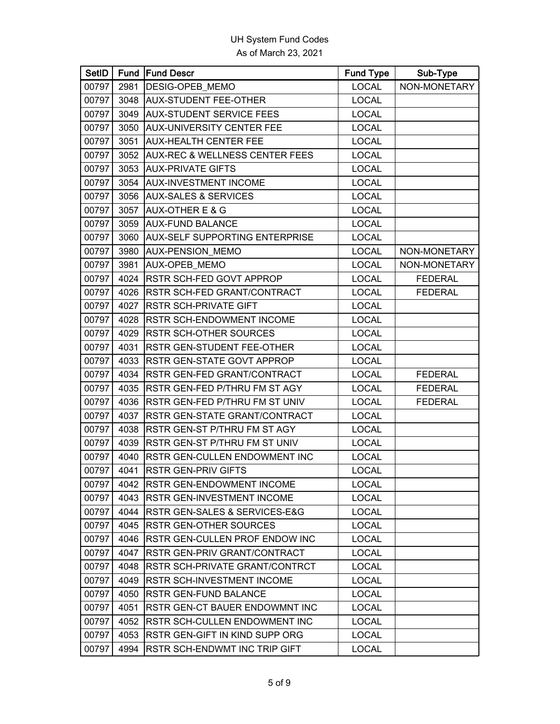| <b>SetID</b> |      | <b>Fund Fund Descr</b>                    | <b>Fund Type</b> | Sub-Type       |
|--------------|------|-------------------------------------------|------------------|----------------|
| 00797        | 2981 | DESIG-OPEB_MEMO                           | <b>LOCAL</b>     | NON-MONETARY   |
| 00797        | 3048 | <b>AUX-STUDENT FEE-OTHER</b>              | <b>LOCAL</b>     |                |
| 00797        | 3049 | <b>AUX-STUDENT SERVICE FEES</b>           | <b>LOCAL</b>     |                |
| 00797        | 3050 | AUX-UNIVERSITY CENTER FEE                 | <b>LOCAL</b>     |                |
| 00797        | 3051 | <b>AUX-HEALTH CENTER FEE</b>              | LOCAL            |                |
| 00797        | 3052 | <b>AUX-REC &amp; WELLNESS CENTER FEES</b> | <b>LOCAL</b>     |                |
| 00797        | 3053 | <b>AUX-PRIVATE GIFTS</b>                  | <b>LOCAL</b>     |                |
| 00797        | 3054 | AUX-INVESTMENT INCOME                     | <b>LOCAL</b>     |                |
| 00797        | 3056 | <b>AUX-SALES &amp; SERVICES</b>           | LOCAL            |                |
| 00797        | 3057 | <b>AUX-OTHER E &amp; G</b>                | <b>LOCAL</b>     |                |
| 00797        | 3059 | <b>AUX-FUND BALANCE</b>                   | <b>LOCAL</b>     |                |
| 00797        | 3060 | AUX-SELF SUPPORTING ENTERPRISE            | <b>LOCAL</b>     |                |
| 00797        | 3980 | AUX-PENSION_MEMO                          | LOCAL            | NON-MONETARY   |
| 00797        | 3981 | AUX-OPEB_MEMO                             | <b>LOCAL</b>     | NON-MONETARY   |
| 00797        | 4024 | RSTR SCH-FED GOVT APPROP                  | <b>LOCAL</b>     | <b>FEDERAL</b> |
| 00797        | 4026 | RSTR SCH-FED GRANT/CONTRACT               | <b>LOCAL</b>     | <b>FEDERAL</b> |
| 00797        | 4027 | <b>RSTR SCH-PRIVATE GIFT</b>              | LOCAL            |                |
| 00797        | 4028 | RSTR SCH-ENDOWMENT INCOME                 | <b>LOCAL</b>     |                |
| 00797        | 4029 | <b>RSTR SCH-OTHER SOURCES</b>             | <b>LOCAL</b>     |                |
| 00797        | 4031 | RSTR GEN-STUDENT FEE-OTHER                | <b>LOCAL</b>     |                |
| 00797        | 4033 | RSTR GEN-STATE GOVT APPROP                | <b>LOCAL</b>     |                |
| 00797        | 4034 | RSTR GEN-FED GRANT/CONTRACT               | <b>LOCAL</b>     | <b>FEDERAL</b> |
| 00797        | 4035 | RSTR GEN-FED P/THRU FM ST AGY             | <b>LOCAL</b>     | <b>FEDERAL</b> |
| 00797        | 4036 | RSTR GEN-FED P/THRU FM ST UNIV            | <b>LOCAL</b>     | <b>FEDERAL</b> |
| 00797        | 4037 | RSTR GEN-STATE GRANT/CONTRACT             | <b>LOCAL</b>     |                |
| 00797        | 4038 | RSTR GEN-ST P/THRU FM ST AGY              | <b>LOCAL</b>     |                |
| 00797        | 4039 | RSTR GEN-ST P/THRU FM ST UNIV             | <b>LOCAL</b>     |                |
| 00797        | 4040 | RSTR GEN-CULLEN ENDOWMENT INC             | <b>LOCAL</b>     |                |
| 00797        | 4041 | <b>RSTR GEN-PRIV GIFTS</b>                | <b>LOCAL</b>     |                |
| 00797        |      | 4042   RSTR GEN-ENDOWMENT INCOME          | <b>LOCAL</b>     |                |
| 00797        | 4043 | RSTR GEN-INVESTMENT INCOME                | <b>LOCAL</b>     |                |
| 00797        | 4044 | RSTR GEN-SALES & SERVICES-E&G             | <b>LOCAL</b>     |                |
| 00797        | 4045 | RSTR GEN-OTHER SOURCES                    | <b>LOCAL</b>     |                |
| 00797        | 4046 | RSTR GEN-CULLEN PROF ENDOW INC            | <b>LOCAL</b>     |                |
| 00797        | 4047 | RSTR GEN-PRIV GRANT/CONTRACT              | <b>LOCAL</b>     |                |
| 00797        | 4048 | RSTR SCH-PRIVATE GRANT/CONTRCT            | <b>LOCAL</b>     |                |
| 00797        | 4049 | RSTR SCH-INVESTMENT INCOME                | <b>LOCAL</b>     |                |
| 00797        | 4050 | RSTR GEN-FUND BALANCE                     | <b>LOCAL</b>     |                |
| 00797        | 4051 | RSTR GEN-CT BAUER ENDOWMNT INC            | <b>LOCAL</b>     |                |
| 00797        | 4052 | RSTR SCH-CULLEN ENDOWMENT INC             | <b>LOCAL</b>     |                |
| 00797        | 4053 | RSTR GEN-GIFT IN KIND SUPP ORG            | <b>LOCAL</b>     |                |
| 00797        | 4994 | RSTR SCH-ENDWMT INC TRIP GIFT             | <b>LOCAL</b>     |                |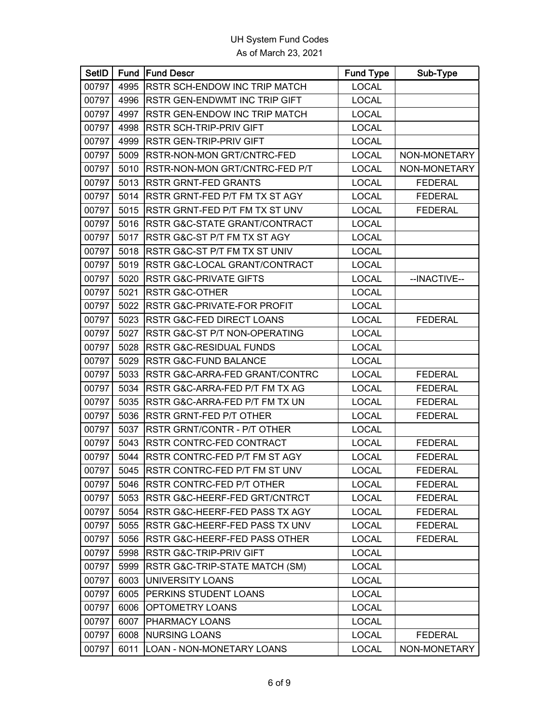| <b>SetID</b> |      | Fund Fund Descr                   | <b>Fund Type</b> | Sub-Type       |
|--------------|------|-----------------------------------|------------------|----------------|
| 00797        | 4995 | RSTR SCH-ENDOW INC TRIP MATCH     | <b>LOCAL</b>     |                |
| 00797        | 4996 | RSTR GEN-ENDWMT INC TRIP GIFT     | <b>LOCAL</b>     |                |
| 00797        | 4997 | RSTR GEN-ENDOW INC TRIP MATCH     | <b>LOCAL</b>     |                |
| 00797        | 4998 | <b>RSTR SCH-TRIP-PRIV GIFT</b>    | <b>LOCAL</b>     |                |
| 00797        | 4999 | <b>RSTR GEN-TRIP-PRIV GIFT</b>    | <b>LOCAL</b>     |                |
| 00797        | 5009 | RSTR-NON-MON GRT/CNTRC-FED        | <b>LOCAL</b>     | NON-MONETARY   |
| 00797        | 5010 | RSTR-NON-MON GRT/CNTRC-FED P/T    | <b>LOCAL</b>     | NON-MONETARY   |
| 00797        | 5013 | <b>RSTR GRNT-FED GRANTS</b>       | <b>LOCAL</b>     | <b>FEDERAL</b> |
| 00797        | 5014 | RSTR GRNT-FED P/T FM TX ST AGY    | <b>LOCAL</b>     | <b>FEDERAL</b> |
| 00797        | 5015 | RSTR GRNT-FED P/T FM TX ST UNV    | <b>LOCAL</b>     | <b>FEDERAL</b> |
| 00797        | 5016 | RSTR G&C-STATE GRANT/CONTRACT     | <b>LOCAL</b>     |                |
| 00797        | 5017 | RSTR G&C-ST P/T FM TX ST AGY      | <b>LOCAL</b>     |                |
| 00797        | 5018 | RSTR G&C-ST P/T FM TX ST UNIV     | <b>LOCAL</b>     |                |
| 00797        | 5019 | RSTR G&C-LOCAL GRANT/CONTRACT     | <b>LOCAL</b>     |                |
| 00797        | 5020 | <b>RSTR G&amp;C-PRIVATE GIFTS</b> | <b>LOCAL</b>     | --INACTIVE--   |
| 00797        | 5021 | <b>RSTR G&amp;C-OTHER</b>         | <b>LOCAL</b>     |                |
| 00797        | 5022 | RSTR G&C-PRIVATE-FOR PROFIT       | <b>LOCAL</b>     |                |
| 00797        | 5023 | RSTR G&C-FED DIRECT LOANS         | <b>LOCAL</b>     | <b>FEDERAL</b> |
| 00797        | 5027 | RSTR G&C-ST P/T NON-OPERATING     | <b>LOCAL</b>     |                |
| 00797        | 5028 | RSTR G&C-RESIDUAL FUNDS           | <b>LOCAL</b>     |                |
| 00797        | 5029 | RSTR G&C-FUND BALANCE             | <b>LOCAL</b>     |                |
| 00797        | 5033 | RSTR G&C-ARRA-FED GRANT/CONTRC    | <b>LOCAL</b>     | <b>FEDERAL</b> |
| 00797        | 5034 | RSTR G&C-ARRA-FED P/T FM TX AG    | <b>LOCAL</b>     | <b>FEDERAL</b> |
| 00797        | 5035 | RSTR G&C-ARRA-FED P/T FM TX UN    | <b>LOCAL</b>     | <b>FEDERAL</b> |
| 00797        | 5036 | RSTR GRNT-FED P/T OTHER           | <b>LOCAL</b>     | <b>FEDERAL</b> |
| 00797        | 5037 | RSTR GRNT/CONTR - P/T OTHER       | <b>LOCAL</b>     |                |
| 00797        | 5043 | RSTR CONTRC-FED CONTRACT          | <b>LOCAL</b>     | <b>FEDERAL</b> |
| 00797        | 5044 | RSTR CONTRC-FED P/T FM ST AGY     | <b>LOCAL</b>     | <b>FEDERAL</b> |
| 00797        | 5045 | RSTR CONTRC-FED P/T FM ST UNV     | <b>LOCAL</b>     | <b>FEDERAL</b> |
| 00797        | 5046 | RSTR CONTRC-FED P/T OTHER         | <b>LOCAL</b>     | <b>FEDERAL</b> |
| 00797        | 5053 | RSTR G&C-HEERF-FED GRT/CNTRCT     | <b>LOCAL</b>     | <b>FEDERAL</b> |
| 00797        | 5054 | RSTR G&C-HEERF-FED PASS TX AGY    | <b>LOCAL</b>     | <b>FEDERAL</b> |
| 00797        | 5055 | RSTR G&C-HEERF-FED PASS TX UNV    | <b>LOCAL</b>     | <b>FEDERAL</b> |
| 00797        | 5056 | RSTR G&C-HEERF-FED PASS OTHER     | <b>LOCAL</b>     | <b>FEDERAL</b> |
| 00797        | 5998 | RSTR G&C-TRIP-PRIV GIFT           | <b>LOCAL</b>     |                |
| 00797        | 5999 | RSTR G&C-TRIP-STATE MATCH (SM)    | <b>LOCAL</b>     |                |
| 00797        | 6003 | <b>UNIVERSITY LOANS</b>           | <b>LOCAL</b>     |                |
| 00797        | 6005 | PERKINS STUDENT LOANS             | <b>LOCAL</b>     |                |
| 00797        | 6006 | OPTOMETRY LOANS                   | <b>LOCAL</b>     |                |
| 00797        | 6007 | PHARMACY LOANS                    | <b>LOCAL</b>     |                |
| 00797        | 6008 | <b>NURSING LOANS</b>              | <b>LOCAL</b>     | <b>FEDERAL</b> |
| 00797        | 6011 | LOAN - NON-MONETARY LOANS         | <b>LOCAL</b>     | NON-MONETARY   |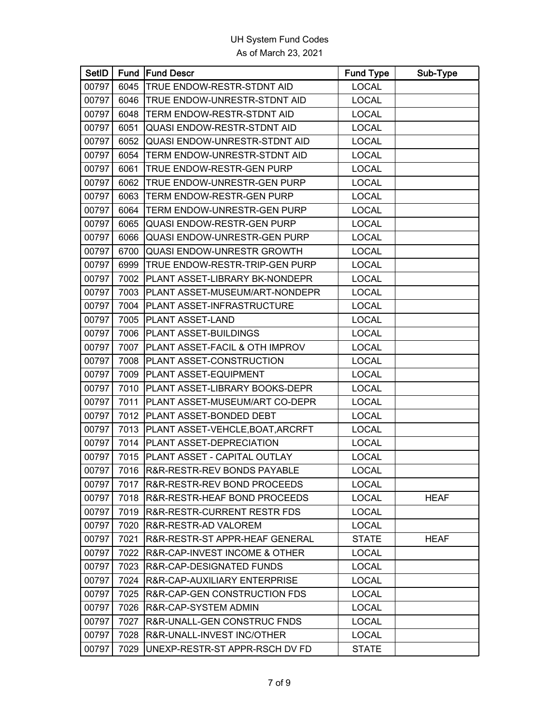| <b>SetID</b> |      | <b>Fund Fund Descr</b>               | <b>Fund Type</b> | Sub-Type    |
|--------------|------|--------------------------------------|------------------|-------------|
| 00797        | 6045 | TRUE ENDOW-RESTR-STDNT AID           | <b>LOCAL</b>     |             |
| 00797        | 6046 | TRUE ENDOW-UNRESTR-STDNT AID         | <b>LOCAL</b>     |             |
| 00797        | 6048 | TERM ENDOW-RESTR-STDNT AID           | <b>LOCAL</b>     |             |
| 00797        | 6051 | QUASI ENDOW-RESTR-STDNT AID          | <b>LOCAL</b>     |             |
| 00797        | 6052 | <b>QUASI ENDOW-UNRESTR-STDNT AID</b> | <b>LOCAL</b>     |             |
| 00797        | 6054 | TERM ENDOW-UNRESTR-STDNT AID         | <b>LOCAL</b>     |             |
| 00797        | 6061 | TRUE ENDOW-RESTR-GEN PURP            | <b>LOCAL</b>     |             |
| 00797        | 6062 | TRUE ENDOW-UNRESTR-GEN PURP          | <b>LOCAL</b>     |             |
| 00797        | 6063 | TERM ENDOW-RESTR-GEN PURP            | <b>LOCAL</b>     |             |
| 00797        | 6064 | TERM ENDOW-UNRESTR-GEN PURP          | <b>LOCAL</b>     |             |
| 00797        | 6065 | <b>QUASI ENDOW-RESTR-GEN PURP</b>    | <b>LOCAL</b>     |             |
| 00797        | 6066 | QUASI ENDOW-UNRESTR-GEN PURP         | <b>LOCAL</b>     |             |
| 00797        | 6700 | <b>QUASI ENDOW-UNRESTR GROWTH</b>    | <b>LOCAL</b>     |             |
| 00797        | 6999 | TRUE ENDOW-RESTR-TRIP-GEN PURP       | <b>LOCAL</b>     |             |
| 00797        | 7002 | PLANT ASSET-LIBRARY BK-NONDEPR       | <b>LOCAL</b>     |             |
| 00797        | 7003 | PLANT ASSET-MUSEUM/ART-NONDEPR       | <b>LOCAL</b>     |             |
| 00797        | 7004 | PLANT ASSET-INFRASTRUCTURE           | <b>LOCAL</b>     |             |
| 00797        | 7005 | PLANT ASSET-LAND                     | <b>LOCAL</b>     |             |
| 00797        | 7006 | PLANT ASSET-BUILDINGS                | <b>LOCAL</b>     |             |
| 00797        | 7007 | PLANT ASSET-FACIL & OTH IMPROV       | <b>LOCAL</b>     |             |
| 00797        | 7008 | PLANT ASSET-CONSTRUCTION             | <b>LOCAL</b>     |             |
| 00797        | 7009 | PLANT ASSET-EQUIPMENT                | <b>LOCAL</b>     |             |
| 00797        | 7010 | PLANT ASSET-LIBRARY BOOKS-DEPR       | <b>LOCAL</b>     |             |
| 00797        | 7011 | PLANT ASSET-MUSEUM/ART CO-DEPR       | <b>LOCAL</b>     |             |
| 00797        | 7012 | PLANT ASSET-BONDED DEBT              | <b>LOCAL</b>     |             |
| 00797        | 7013 | PLANT ASSET-VEHCLE, BOAT, ARCRFT     | <b>LOCAL</b>     |             |
| 00797        | 7014 | PLANT ASSET-DEPRECIATION             | <b>LOCAL</b>     |             |
| 00797        | 7015 | PLANT ASSET - CAPITAL OUTLAY         | <b>LOCAL</b>     |             |
| 00797        | 7016 | R&R-RESTR-REV BONDS PAYABLE          | <b>LOCAL</b>     |             |
| 00797        |      | 7017   R&R-RESTR-REV BOND PROCEEDS   | <b>LOCAL</b>     |             |
| 00797        | 7018 | R&R-RESTR-HEAF BOND PROCEEDS         | <b>LOCAL</b>     | <b>HEAF</b> |
| 00797        | 7019 | R&R-RESTR-CURRENT RESTR FDS          | <b>LOCAL</b>     |             |
| 00797        | 7020 | R&R-RESTR-AD VALOREM                 | <b>LOCAL</b>     |             |
| 00797        | 7021 | R&R-RESTR-ST APPR-HEAF GENERAL       | <b>STATE</b>     | <b>HEAF</b> |
| 00797        | 7022 | R&R-CAP-INVEST INCOME & OTHER        | <b>LOCAL</b>     |             |
| 00797        | 7023 | R&R-CAP-DESIGNATED FUNDS             | <b>LOCAL</b>     |             |
| 00797        | 7024 | R&R-CAP-AUXILIARY ENTERPRISE         | <b>LOCAL</b>     |             |
| 00797        | 7025 | R&R-CAP-GEN CONSTRUCTION FDS         | <b>LOCAL</b>     |             |
| 00797        | 7026 | R&R-CAP-SYSTEM ADMIN                 | <b>LOCAL</b>     |             |
| 00797        | 7027 | R&R-UNALL-GEN CONSTRUC FNDS          | <b>LOCAL</b>     |             |
| 00797        | 7028 | R&R-UNALL-INVEST INC/OTHER           | <b>LOCAL</b>     |             |
| 00797        | 7029 | UNEXP-RESTR-ST APPR-RSCH DV FD       | <b>STATE</b>     |             |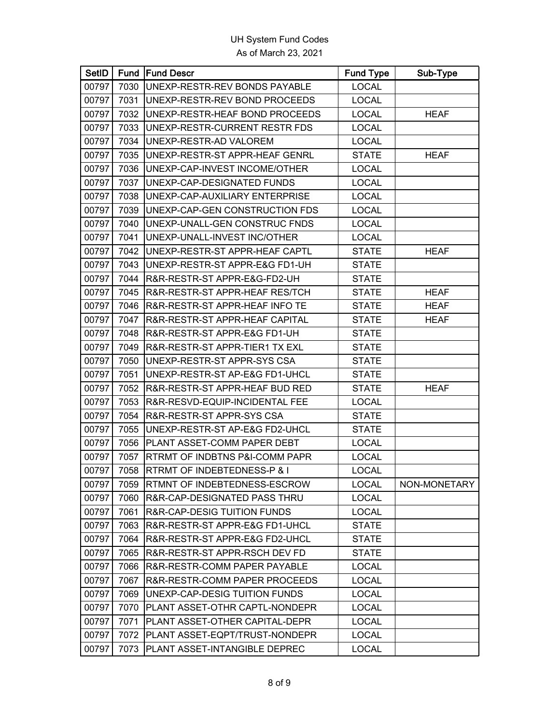| <b>SetID</b> |      | <b>Fund Fund Descr</b>         | <b>Fund Type</b> | Sub-Type     |
|--------------|------|--------------------------------|------------------|--------------|
| 00797        | 7030 | UNEXP-RESTR-REV BONDS PAYABLE  | <b>LOCAL</b>     |              |
| 00797        | 7031 | UNEXP-RESTR-REV BOND PROCEEDS  | <b>LOCAL</b>     |              |
| 00797        | 7032 | UNEXP-RESTR-HEAF BOND PROCEEDS | <b>LOCAL</b>     | <b>HEAF</b>  |
| 00797        | 7033 | UNEXP-RESTR-CURRENT RESTR FDS  | <b>LOCAL</b>     |              |
| 00797        | 7034 | UNEXP-RESTR-AD VALOREM         | <b>LOCAL</b>     |              |
| 00797        | 7035 | UNEXP-RESTR-ST APPR-HEAF GENRL | <b>STATE</b>     | <b>HEAF</b>  |
| 00797        | 7036 | UNEXP-CAP-INVEST INCOME/OTHER  | <b>LOCAL</b>     |              |
| 00797        | 7037 | UNEXP-CAP-DESIGNATED FUNDS     | <b>LOCAL</b>     |              |
| 00797        | 7038 | UNEXP-CAP-AUXILIARY ENTERPRISE | <b>LOCAL</b>     |              |
| 00797        | 7039 | UNEXP-CAP-GEN CONSTRUCTION FDS | <b>LOCAL</b>     |              |
| 00797        | 7040 | UNEXP-UNALL-GEN CONSTRUC FNDS  | <b>LOCAL</b>     |              |
| 00797        | 7041 | UNEXP-UNALL-INVEST INC/OTHER   | <b>LOCAL</b>     |              |
| 00797        | 7042 | UNEXP-RESTR-ST APPR-HEAF CAPTL | <b>STATE</b>     | <b>HEAF</b>  |
| 00797        | 7043 | UNEXP-RESTR-ST APPR-E&G FD1-UH | <b>STATE</b>     |              |
| 00797        | 7044 | R&R-RESTR-ST APPR-E&G-FD2-UH   | <b>STATE</b>     |              |
| 00797        | 7045 | R&R-RESTR-ST APPR-HEAF RES/TCH | <b>STATE</b>     | <b>HEAF</b>  |
| 00797        | 7046 | R&R-RESTR-ST APPR-HEAF INFO TE | <b>STATE</b>     | <b>HEAF</b>  |
| 00797        | 7047 | R&R-RESTR-ST APPR-HEAF CAPITAL | <b>STATE</b>     | <b>HEAF</b>  |
| 00797        | 7048 | R&R-RESTR-ST APPR-E&G FD1-UH   | <b>STATE</b>     |              |
| 00797        | 7049 | R&R-RESTR-ST APPR-TIER1 TX EXL | <b>STATE</b>     |              |
| 00797        | 7050 | UNEXP-RESTR-ST APPR-SYS CSA    | <b>STATE</b>     |              |
| 00797        | 7051 | UNEXP-RESTR-ST AP-E&G FD1-UHCL | <b>STATE</b>     |              |
| 00797        | 7052 | R&R-RESTR-ST APPR-HEAF BUD RED | <b>STATE</b>     | <b>HEAF</b>  |
| 00797        | 7053 | R&R-RESVD-EQUIP-INCIDENTAL FEE | <b>LOCAL</b>     |              |
| 00797        | 7054 | R&R-RESTR-ST APPR-SYS CSA      | <b>STATE</b>     |              |
| 00797        | 7055 | UNEXP-RESTR-ST AP-E&G FD2-UHCL | <b>STATE</b>     |              |
| 00797        | 7056 | PLANT ASSET-COMM PAPER DEBT    | <b>LOCAL</b>     |              |
| 00797        | 7057 | RTRMT OF INDBTNS P&I-COMM PAPR | <b>LOCAL</b>     |              |
| 00797        | 7058 | RTRMT OF INDEBTEDNESS-P & I    | <b>LOCAL</b>     |              |
| 00797        | 7059 | RTMNT OF INDEBTEDNESS-ESCROW   | <b>LOCAL</b>     | NON-MONETARY |
| 00797        | 7060 | R&R-CAP-DESIGNATED PASS THRU   | <b>LOCAL</b>     |              |
| 00797        | 7061 | R&R-CAP-DESIG TUITION FUNDS    | <b>LOCAL</b>     |              |
| 00797        | 7063 | R&R-RESTR-ST APPR-E&G FD1-UHCL | <b>STATE</b>     |              |
| 00797        | 7064 | R&R-RESTR-ST APPR-E&G FD2-UHCL | <b>STATE</b>     |              |
| 00797        | 7065 | R&R-RESTR-ST APPR-RSCH DEV FD  | <b>STATE</b>     |              |
| 00797        | 7066 | R&R-RESTR-COMM PAPER PAYABLE   | <b>LOCAL</b>     |              |
| 00797        | 7067 | R&R-RESTR-COMM PAPER PROCEEDS  | <b>LOCAL</b>     |              |
| 00797        | 7069 | UNEXP-CAP-DESIG TUITION FUNDS  | <b>LOCAL</b>     |              |
| 00797        | 7070 | PLANT ASSET-OTHR CAPTL-NONDEPR | <b>LOCAL</b>     |              |
| 00797        | 7071 | PLANT ASSET-OTHER CAPITAL-DEPR | <b>LOCAL</b>     |              |
| 00797        | 7072 | PLANT ASSET-EQPT/TRUST-NONDEPR | <b>LOCAL</b>     |              |
| 00797        | 7073 | PLANT ASSET-INTANGIBLE DEPREC  | <b>LOCAL</b>     |              |